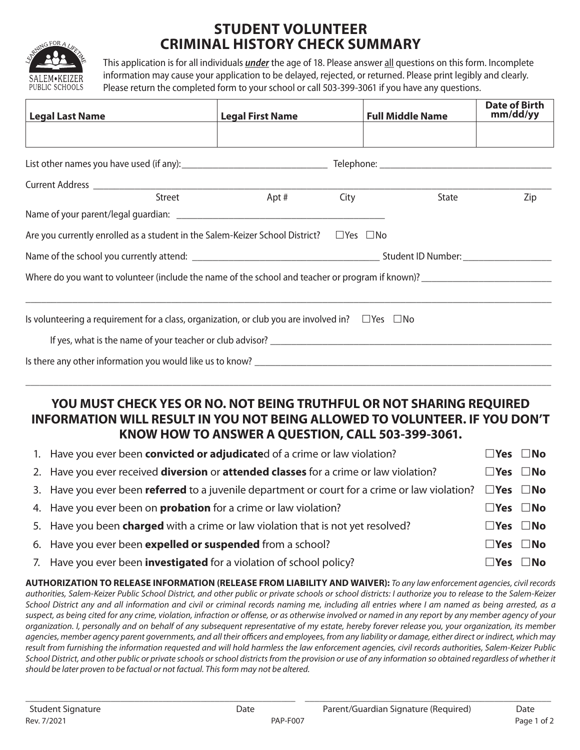

# **STUDENT VOLUNTEER CRIMINAL HISTORY CHECK SUMMARY**

This application is for all individuals *under* the age of 18. Please answer all questions on this form. Incomplete information may cause your application to be delayed, rejected, or returned. Please print legibly and clearly. Please return the completed form to your school or call 503-399-3061 if you have any questions.

| <b>Legal Last Name</b>                                                                                                                                                                                                        | <b>Legal First Name</b> |      | <b>Full Middle Name</b> |       | <b>Date of Birth</b><br>mm/dd/yy |  |  |
|-------------------------------------------------------------------------------------------------------------------------------------------------------------------------------------------------------------------------------|-------------------------|------|-------------------------|-------|----------------------------------|--|--|
|                                                                                                                                                                                                                               |                         |      |                         |       |                                  |  |  |
|                                                                                                                                                                                                                               |                         |      |                         |       |                                  |  |  |
|                                                                                                                                                                                                                               |                         |      |                         |       |                                  |  |  |
| Street                                                                                                                                                                                                                        | Apt #                   | City |                         | State | Zip                              |  |  |
|                                                                                                                                                                                                                               |                         |      |                         |       |                                  |  |  |
| Are you currently enrolled as a student in the Salem-Keizer School District? $\square$ Yes $\square$ No                                                                                                                       |                         |      |                         |       |                                  |  |  |
|                                                                                                                                                                                                                               |                         |      |                         |       |                                  |  |  |
| Where do you want to volunteer (include the name of the school and teacher or program if known)?                                                                                                                              |                         |      |                         |       |                                  |  |  |
|                                                                                                                                                                                                                               |                         |      |                         |       |                                  |  |  |
| Is volunteering a requirement for a class, organization, or club you are involved in? $\square$ Yes $\square$ No                                                                                                              |                         |      |                         |       |                                  |  |  |
|                                                                                                                                                                                                                               |                         |      |                         |       |                                  |  |  |
| Is there any other information you would like us to know? Letterman the control of the control of the control of the control of the control of the control of the control of the control of the control of the control of the |                         |      |                         |       |                                  |  |  |
|                                                                                                                                                                                                                               |                         |      |                         |       |                                  |  |  |

## **YOU MUST CHECK YES OR NO. NOT BEING TRUTHFUL OR NOT SHARING REQUIRED INFORMATION WILL RESULT IN YOU NOT BEING ALLOWED TO VOLUNTEER. IF YOU DON'T KNOW HOW TO ANSWER A QUESTION, CALL 503-399-3061.**

| 1. Have you ever been convicted or adjudicated of a crime or law violation?                                               | $\square$ Yes $\square$ No |                            |
|---------------------------------------------------------------------------------------------------------------------------|----------------------------|----------------------------|
| 2. Have you ever received <b>diversion</b> or <b>attended classes</b> for a crime or law violation?                       | $\square$ Yes $\square$ No |                            |
| 3. Have you ever been referred to a juvenile department or court for a crime or law violation? $\square$ Yes $\square$ No |                            |                            |
| 4. Have you ever been on <b>probation</b> for a crime or law violation?                                                   | $\square$ Yes $\square$ No |                            |
| 5. Have you been <b>charged</b> with a crime or law violation that is not yet resolved?                                   | $\square$ Yes $\square$ No |                            |
| 6. Have you ever been expelled or suspended from a school?                                                                | $\square$ Yes $\square$ No |                            |
| 7. Have you ever been <b>investigated</b> for a violation of school policy?                                               |                            | $\square$ Yes $\square$ No |

**AUTHORIZATION TO RELEASE INFORMATION (RELEASE FROM LIABILITY AND WAIVER):** *To any law enforcement agencies, civil records authorities, Salem-Keizer Public School District, and other public or private schools or school districts: I authorize you to release to the Salem-Keizer School District any and all information and civil or criminal records naming me, including all entries where I am named as being arrested, as a suspect, as being cited for any crime, violation, infraction or offense, or as otherwise involved or named in any report by any member agency of your organization. I, personally and on behalf of any subsequent representative of my estate, hereby forever release you, your organization, its member agencies, member agency parent governments, and all their officers and employees, from any liability or damage, either direct or indirect, which may result from furnishing the information requested and will hold harmless the law enforcement agencies, civil records authorities, Salem-Keizer Public School District, and other public or private schools or school districts from the provision or use of any information so obtained regardless of whether it should be later proven to be factual or not factual. This form may not be altered.*